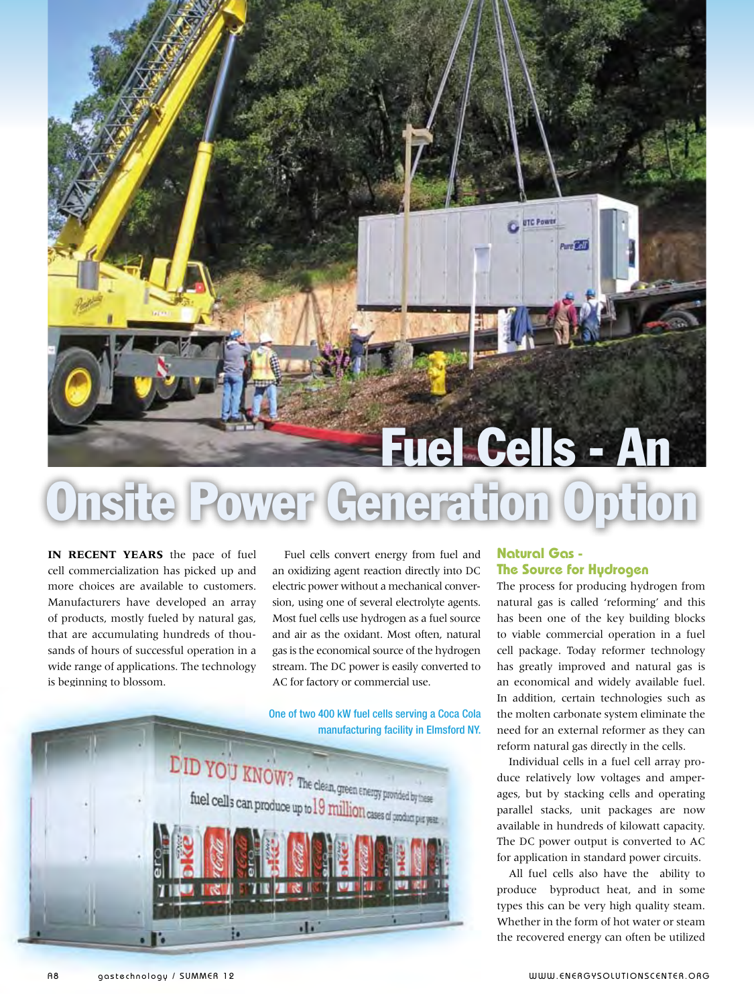# ower Generation Option Fuel Cells - An

**In recent years** the pace of fuel cell commercialization has picked up and more choices are available to customers. Manufacturers have developed an array of products, mostly fueled by natural gas, that are accumulating hundreds of thousands of hours of successful operation in a wide range of applications. The technology is beginning to blossom.

Fuel cells convert energy from fuel and an oxidizing agent reaction directly into DC electric power without a mechanical conversion, using one of several electrolyte agents. Most fuel cells use hydrogen as a fuel source and air as the oxidant. Most often, natural gas is the economical source of the hydrogen stream. The DC power is easily converted to AC for factory or commercial use.

One of two 400 kW fuel cells serving a Coca Cola manufacturing facility in Elmsford NY.



### **Natural Gas - The Source for Hydrogen**

**OF UTC Power** 

Part Coll

The process for producing hydrogen from natural gas is called 'reforming' and this has been one of the key building blocks to viable commercial operation in a fuel cell package. Today reformer technology has greatly improved and natural gas is an economical and widely available fuel. In addition, certain technologies such as the molten carbonate system eliminate the need for an external reformer as they can reform natural gas directly in the cells.

Individual cells in a fuel cell array produce relatively low voltages and amperages, but by stacking cells and operating parallel stacks, unit packages are now available in hundreds of kilowatt capacity. The DC power output is converted to AC for application in standard power circuits.

All fuel cells also have the ability to produce byproduct heat, and in some types this can be very high quality steam. Whether in the form of hot water or steam the recovered energy can often be utilized